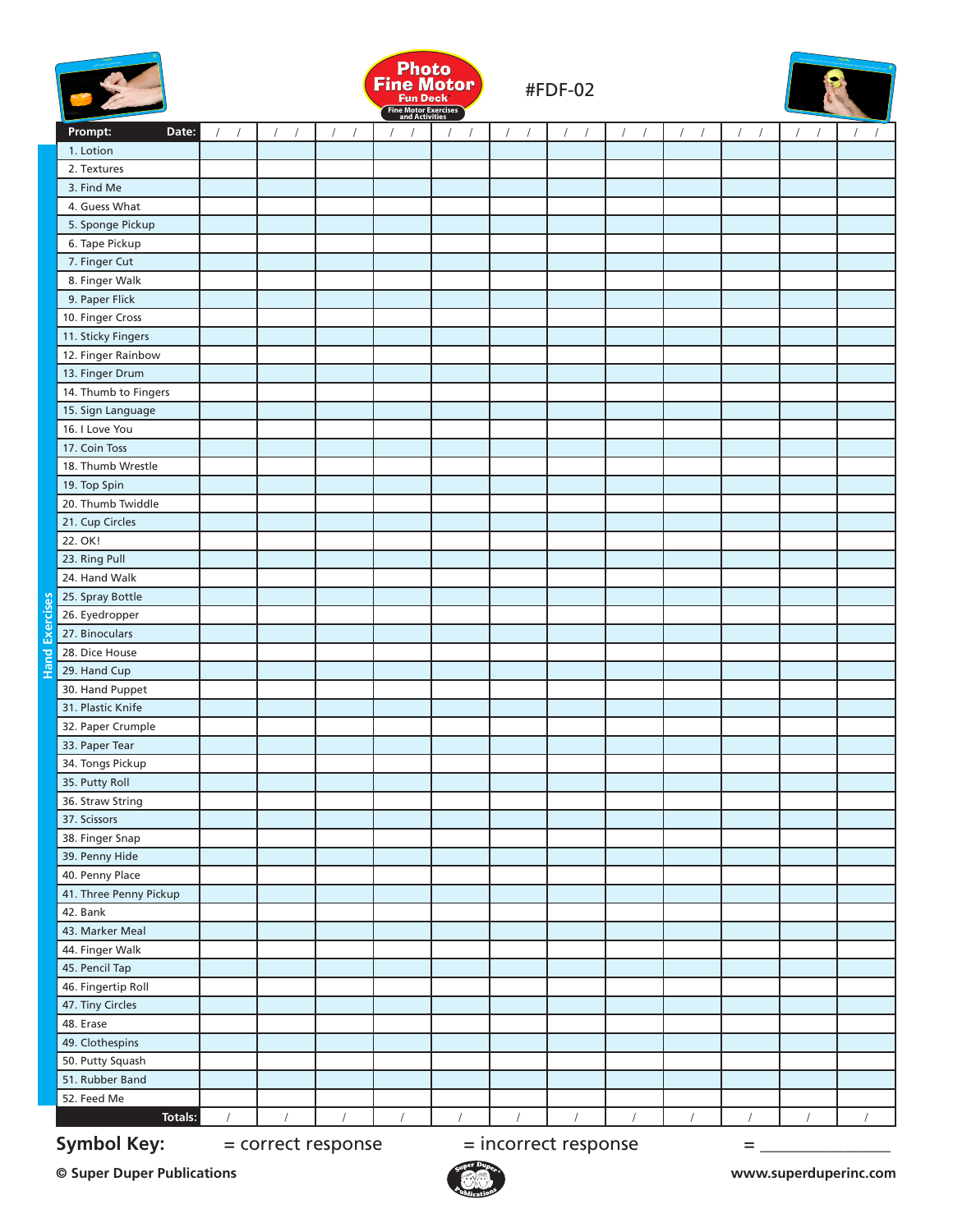



#FDF-02



|                  | Prompt:<br>Date:                  | $\sqrt{2}$<br>$\sqrt{2}$ | $\sqrt{2}$<br>$\sqrt{ }$ | $\sqrt{2}$<br>$\sqrt{2}$ | $\sqrt{2}$<br>$\sqrt{ }$ | $\sqrt{2}$<br>$\sqrt{2}$ | $\sqrt{2}$<br>$\sqrt{2}$ | $\sqrt{ }$ | $\sqrt{2}$<br>$\sqrt{ }$ | $\sqrt{ }$ | $\sqrt{2}$<br>$\sqrt{2}$       | $\sqrt{2}$<br>$\sqrt{ }$ | $\sqrt{2}$<br>$\sqrt{2}$ |
|------------------|-----------------------------------|--------------------------|--------------------------|--------------------------|--------------------------|--------------------------|--------------------------|------------|--------------------------|------------|--------------------------------|--------------------------|--------------------------|
|                  | 1. Lotion                         |                          |                          |                          |                          |                          |                          |            |                          |            |                                |                          |                          |
|                  | 2. Textures                       |                          |                          |                          |                          |                          |                          |            |                          |            |                                |                          |                          |
|                  | 3. Find Me                        |                          |                          |                          |                          |                          |                          |            |                          |            |                                |                          |                          |
|                  | 4. Guess What                     |                          |                          |                          |                          |                          |                          |            |                          |            |                                |                          |                          |
|                  | 5. Sponge Pickup                  |                          |                          |                          |                          |                          |                          |            |                          |            |                                |                          |                          |
|                  | 6. Tape Pickup                    |                          |                          |                          |                          |                          |                          |            |                          |            |                                |                          |                          |
|                  | 7. Finger Cut                     |                          |                          |                          |                          |                          |                          |            |                          |            |                                |                          |                          |
|                  | 8. Finger Walk                    |                          |                          |                          |                          |                          |                          |            |                          |            |                                |                          |                          |
|                  | 9. Paper Flick                    |                          |                          |                          |                          |                          |                          |            |                          |            |                                |                          |                          |
|                  | 10. Finger Cross                  |                          |                          |                          |                          |                          |                          |            |                          |            |                                |                          |                          |
|                  | 11. Sticky Fingers                |                          |                          |                          |                          |                          |                          |            |                          |            |                                |                          |                          |
|                  | 12. Finger Rainbow                |                          |                          |                          |                          |                          |                          |            |                          |            |                                |                          |                          |
|                  | 13. Finger Drum                   |                          |                          |                          |                          |                          |                          |            |                          |            |                                |                          |                          |
|                  | 14. Thumb to Fingers              |                          |                          |                          |                          |                          |                          |            |                          |            |                                |                          |                          |
|                  | 15. Sign Language                 |                          |                          |                          |                          |                          |                          |            |                          |            |                                |                          |                          |
|                  | 16. I Love You                    |                          |                          |                          |                          |                          |                          |            |                          |            |                                |                          |                          |
|                  | 17. Coin Toss                     |                          |                          |                          |                          |                          |                          |            |                          |            |                                |                          |                          |
|                  | 18. Thumb Wrestle                 |                          |                          |                          |                          |                          |                          |            |                          |            |                                |                          |                          |
|                  | 19. Top Spin                      |                          |                          |                          |                          |                          |                          |            |                          |            |                                |                          |                          |
|                  | 20. Thumb Twiddle                 |                          |                          |                          |                          |                          |                          |            |                          |            |                                |                          |                          |
|                  | 21. Cup Circles                   |                          |                          |                          |                          |                          |                          |            |                          |            |                                |                          |                          |
|                  | 22. OK!                           |                          |                          |                          |                          |                          |                          |            |                          |            |                                |                          |                          |
|                  | 23. Ring Pull                     |                          |                          |                          |                          |                          |                          |            |                          |            |                                |                          |                          |
|                  | 24. Hand Walk                     |                          |                          |                          |                          |                          |                          |            |                          |            |                                |                          |                          |
|                  | 25. Spray Bottle                  |                          |                          |                          |                          |                          |                          |            |                          |            |                                |                          |                          |
| <b>Exercises</b> | 26. Eyedropper                    |                          |                          |                          |                          |                          |                          |            |                          |            |                                |                          |                          |
|                  | 27. Binoculars                    |                          |                          |                          |                          |                          |                          |            |                          |            |                                |                          |                          |
| <b>Hand</b>      | 28. Dice House                    |                          |                          |                          |                          |                          |                          |            |                          |            |                                |                          |                          |
|                  | 29. Hand Cup                      |                          |                          |                          |                          |                          |                          |            |                          |            |                                |                          |                          |
|                  | 30. Hand Puppet                   |                          |                          |                          |                          |                          |                          |            |                          |            |                                |                          |                          |
|                  | 31. Plastic Knife                 |                          |                          |                          |                          |                          |                          |            |                          |            |                                |                          |                          |
|                  | 32. Paper Crumple                 |                          |                          |                          |                          |                          |                          |            |                          |            |                                |                          |                          |
|                  | 33. Paper Tear                    |                          |                          |                          |                          |                          |                          |            |                          |            |                                |                          |                          |
|                  | 34. Tongs Pickup                  |                          |                          |                          |                          |                          |                          |            |                          |            |                                |                          |                          |
|                  | 35. Putty Roll                    |                          |                          |                          |                          |                          |                          |            |                          |            |                                |                          |                          |
|                  | 36. Straw String                  |                          |                          |                          |                          |                          |                          |            |                          |            |                                |                          |                          |
|                  | 37. Scissors                      |                          |                          |                          |                          |                          |                          |            |                          |            |                                |                          |                          |
|                  | 38. Finger Snap                   |                          |                          |                          |                          |                          |                          |            |                          |            |                                |                          |                          |
|                  | 39. Penny Hide<br>40. Penny Place |                          |                          |                          |                          |                          |                          |            |                          |            |                                |                          |                          |
|                  | 41. Three Penny Pickup            |                          |                          |                          |                          |                          |                          |            |                          |            |                                |                          |                          |
|                  | 42. Bank                          |                          |                          |                          |                          |                          |                          |            |                          |            |                                |                          |                          |
|                  | 43. Marker Meal                   |                          |                          |                          |                          |                          |                          |            |                          |            |                                |                          |                          |
|                  | 44. Finger Walk                   |                          |                          |                          |                          |                          |                          |            |                          |            |                                |                          |                          |
|                  | 45. Pencil Tap                    |                          |                          |                          |                          |                          |                          |            |                          |            |                                |                          |                          |
|                  | 46. Fingertip Roll                |                          |                          |                          |                          |                          |                          |            |                          |            |                                |                          |                          |
|                  | 47. Tiny Circles                  |                          |                          |                          |                          |                          |                          |            |                          |            |                                |                          |                          |
|                  | 48. Erase                         |                          |                          |                          |                          |                          |                          |            |                          |            |                                |                          |                          |
|                  | 49. Clothespins                   |                          |                          |                          |                          |                          |                          |            |                          |            |                                |                          |                          |
|                  | 50. Putty Squash                  |                          |                          |                          |                          |                          |                          |            |                          |            |                                |                          |                          |
|                  | 51. Rubber Band                   |                          |                          |                          |                          |                          |                          |            |                          |            |                                |                          |                          |
|                  | 52. Feed Me                       |                          |                          |                          |                          |                          |                          |            |                          |            |                                |                          |                          |
|                  | <b>Totals:</b>                    | $\sqrt{2}$               | $\sqrt{2}$               | $\bigg  \bigg $          | $\sqrt{2}$               | $\sqrt{\phantom{a}}$     | $\bigg  \bigg $          | $\bigg)$   | $\bigg  \bigg $          |            | $\bigg  \hspace{0.5pt} \bigg $ | $\sqrt{2}$               | $\sqrt{2}$               |

**Symbol Key:**  $=$  correct response  $=$  incorrect response  $=$  \_

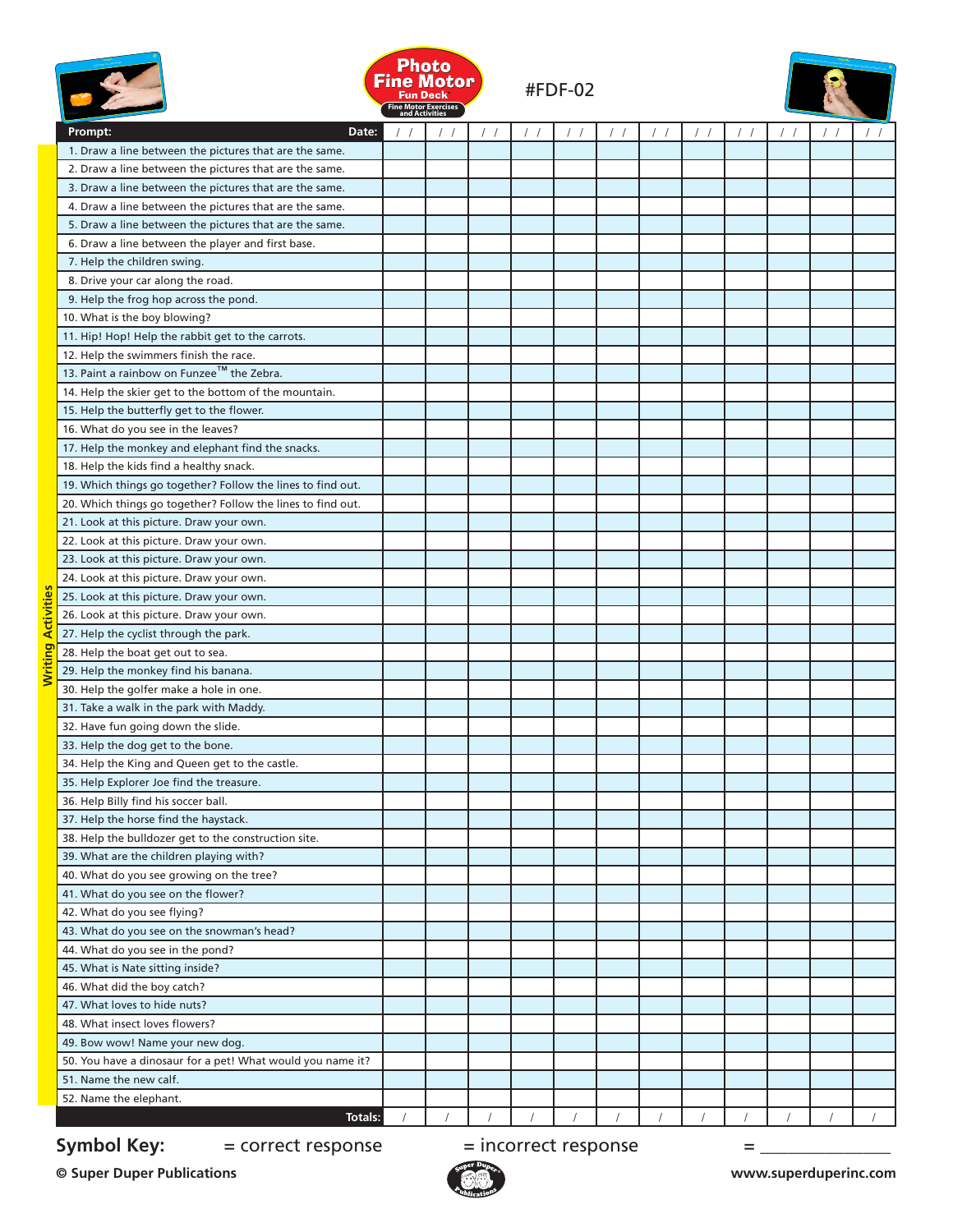|                           |                                                             | <b>Photo</b><br>Fine Motor Exercises<br>and Activities | Fine Motor |  | <b>#FDF-02</b> |  |            |  |  |
|---------------------------|-------------------------------------------------------------|--------------------------------------------------------|------------|--|----------------|--|------------|--|--|
|                           | Prompt:<br>Date:                                            |                                                        |            |  |                |  | $\prime$ / |  |  |
|                           | 1. Draw a line between the pictures that are the same.      |                                                        |            |  |                |  |            |  |  |
|                           | 2. Draw a line between the pictures that are the same.      |                                                        |            |  |                |  |            |  |  |
|                           | 3. Draw a line between the pictures that are the same.      |                                                        |            |  |                |  |            |  |  |
|                           | 4. Draw a line between the pictures that are the same.      |                                                        |            |  |                |  |            |  |  |
|                           | 5. Draw a line between the pictures that are the same.      |                                                        |            |  |                |  |            |  |  |
|                           | 6. Draw a line between the player and first base.           |                                                        |            |  |                |  |            |  |  |
|                           | 7. Help the children swing.                                 |                                                        |            |  |                |  |            |  |  |
|                           | 8. Drive your car along the road.                           |                                                        |            |  |                |  |            |  |  |
|                           | 9. Help the frog hop across the pond.                       |                                                        |            |  |                |  |            |  |  |
|                           | 10. What is the boy blowing?                                |                                                        |            |  |                |  |            |  |  |
|                           | 11. Hip! Hop! Help the rabbit get to the carrots.           |                                                        |            |  |                |  |            |  |  |
|                           | 12. Help the swimmers finish the race.                      |                                                        |            |  |                |  |            |  |  |
|                           | 13. Paint a rainbow on Funzee™ the Zebra.                   |                                                        |            |  |                |  |            |  |  |
|                           | 14. Help the skier get to the bottom of the mountain.       |                                                        |            |  |                |  |            |  |  |
|                           | 15. Help the butterfly get to the flower.                   |                                                        |            |  |                |  |            |  |  |
|                           | 16. What do you see in the leaves?                          |                                                        |            |  |                |  |            |  |  |
|                           | 17. Help the monkey and elephant find the snacks.           |                                                        |            |  |                |  |            |  |  |
|                           | 18. Help the kids find a healthy snack.                     |                                                        |            |  |                |  |            |  |  |
|                           | 19. Which things go together? Follow the lines to find out. |                                                        |            |  |                |  |            |  |  |
|                           | 20. Which things go together? Follow the lines to find out. |                                                        |            |  |                |  |            |  |  |
|                           | 21. Look at this picture. Draw your own.                    |                                                        |            |  |                |  |            |  |  |
|                           | 22. Look at this picture. Draw your own.                    |                                                        |            |  |                |  |            |  |  |
|                           | 23. Look at this picture. Draw your own.                    |                                                        |            |  |                |  |            |  |  |
|                           | 24. Look at this picture. Draw your own.                    |                                                        |            |  |                |  |            |  |  |
|                           | 25. Look at this picture. Draw your own.                    |                                                        |            |  |                |  |            |  |  |
|                           | 26. Look at this picture. Draw your own.                    |                                                        |            |  |                |  |            |  |  |
|                           | 27. Help the cyclist through the park.                      |                                                        |            |  |                |  |            |  |  |
| <b>Writing Activities</b> | 28. Help the boat get out to sea.                           |                                                        |            |  |                |  |            |  |  |
|                           | 29. Help the monkey find his banana.                        |                                                        |            |  |                |  |            |  |  |
|                           | 30. Help the golfer make a hole in one.                     |                                                        |            |  |                |  |            |  |  |
|                           | 31. Take a walk in the park with Maddy.                     |                                                        |            |  |                |  |            |  |  |
|                           | 32. Have fun going down the slide.                          |                                                        |            |  |                |  |            |  |  |
|                           | 33. Help the dog get to the bone.                           |                                                        |            |  |                |  |            |  |  |
|                           | 34. Help the King and Queen get to the castle.              |                                                        |            |  |                |  |            |  |  |
|                           | 35. Help Explorer Joe find the treasure.                    |                                                        |            |  |                |  |            |  |  |
|                           | 36. Help Billy find his soccer ball.                        |                                                        |            |  |                |  |            |  |  |
|                           | 37. Help the horse find the haystack.                       |                                                        |            |  |                |  |            |  |  |
|                           | 38. Help the bulldozer get to the construction site.        |                                                        |            |  |                |  |            |  |  |
|                           | 39. What are the children playing with?                     |                                                        |            |  |                |  |            |  |  |
|                           | 40. What do you see growing on the tree?                    |                                                        |            |  |                |  |            |  |  |
|                           | 41. What do you see on the flower?                          |                                                        |            |  |                |  |            |  |  |
|                           | 42. What do you see flying?                                 |                                                        |            |  |                |  |            |  |  |
|                           |                                                             |                                                        |            |  |                |  |            |  |  |
|                           | 43. What do you see on the snowman's head?                  |                                                        |            |  |                |  |            |  |  |
|                           | 44. What do you see in the pond?                            |                                                        |            |  |                |  |            |  |  |
|                           | 45. What is Nate sitting inside?                            |                                                        |            |  |                |  |            |  |  |
|                           | 46. What did the boy catch?                                 |                                                        |            |  |                |  |            |  |  |
|                           | 47. What loves to hide nuts?                                |                                                        |            |  |                |  |            |  |  |
|                           | 48. What insect loves flowers?                              |                                                        |            |  |                |  |            |  |  |
|                           | 49. Bow wow! Name your new dog.                             |                                                        |            |  |                |  |            |  |  |
|                           | 50. You have a dinosaur for a pet! What would you name it?  |                                                        |            |  |                |  |            |  |  |
|                           | 51. Name the new calf.                                      |                                                        |            |  |                |  |            |  |  |
|                           | 52. Name the elephant.                                      |                                                        |            |  |                |  |            |  |  |
|                           | Totals:                                                     |                                                        |            |  |                |  |            |  |  |

## **Symbol Key:**  $=$  correct response  $=$  incorrect response  $=$  \_\_\_\_\_\_\_\_\_\_\_\_\_\_\_\_\_\_\_\_

**© Super Duper Publications www.superduperinc.com**